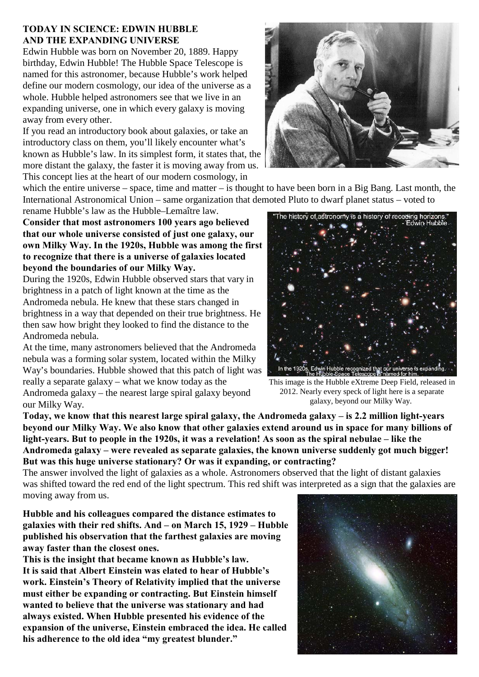## **TODAY IN SCIENCE: EDWIN HUBBLE AND THE EXPANDING UNIVERSE**

Edwin Hubble was born on November 20, 1889. Happy birthday, Edwin Hubble! The Hubble Space Telescope is named for this astronomer, because Hubble's work helped define our modern cosmology, our idea of the universe as a whole. Hubble helped astronomers see that we live in an expanding universe, one in which every galaxy is moving away from every other.

If you read an introductory book about galaxies, or take an introductory class on them, you'll likely encounter what's known as Hubble's law. In its simplest form, it states that, the more distant the galaxy, the faster it is moving away from us. This concept lies at the heart of our modern cosmology, in

which the entire universe – space, time and matter – is thought to have been born in a Big Bang. Last month, the International Astronomical Union – same organization that demoted Pluto to dwarf planet status – voted to

**Consider that most astronomers 100 years ago believed that our whole universe consisted of just one galaxy, our own Milky Way. In the 1920s, Hubble was among the first to recognize that there is a universe of galaxies located**

**beyond the boundaries of our Milky Way.**  During the 1920s, Edwin Hubble observed stars that vary in brightness in a patch of light known at the time as the Andromeda nebula. He knew that these stars changed in brightness in a way that depended on their true brightness. He then saw how bright they looked to find the distance to the Andromeda nebula.

At the time, many astronomers believed that the Andromeda nebula was a forming solar system, located within the Milky Way's boundaries. Hubble showed that this patch of light was really a separate galaxy – what we know today as the Andromeda galaxy – the nearest large spiral galaxy beyond our Milky Way.

rename Hubble's law as the Hubble–Lemaître law. The history of astronomy is a history of receding horizons



2012. Nearly every speck of light here is a separate galaxy, beyond our Milky Way.

**Today, we know that this nearest large spiral galaxy, the Andromeda galaxy – is 2.2 million light-years beyond our Milky Way. We also know that other galaxies extend around us in space for many billions of light-years. But to people in the 1920s, it was a revelation! As soon as the spiral nebulae – like the Andromeda galaxy – were revealed as separate galaxies, the known universe suddenly got much bigger! But was this huge universe stationary? Or was it expanding, or contracting?**

The answer involved the light of galaxies as a whole. Astronomers observed that the light of distant galaxies was shifted toward the red end of the light spectrum. This red shift was interpreted as a sign that the galaxies are moving away from us.

**Hubble and his colleagues compared the distance estimates to galaxies with their red shifts. And – on March 15, 1929 – Hubble published his observation that the farthest galaxies are moving away faster than the closest ones.** 

**This is the insight that became known as Hubble's law. It is said that Albert Einstein was elated to hear of Hubble's work. Einstein's Theory of Relativity implied that the universe must either be expanding or contracting. But Einstein himself wanted to believe that the universe was stationary and had always existed. When Hubble presented his evidence of the expansion of the universe, Einstein embraced the idea. He called his adherence to the old idea "my greatest blunder."**